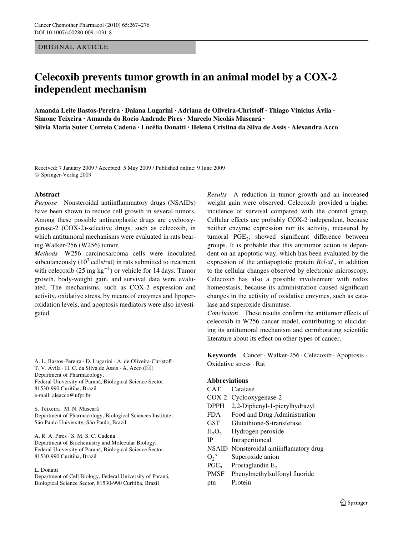ORIGINAL ARTICLE

# **Celecoxib prevents tumor growth in an animal model by a COX-2 independent mechanism**

**Amanda Leite Bastos-Pereira · Daiana Lugarini · Adriana de Oliveira-ChristoV · Thiago Vinicius Ávila · Simone Teixeira · Amanda do Rocio Andrade Pires · Marcelo Nicolás Muscará · Sílvia Maria Suter Correia Cadena · Lucélia Donatti · Helena Cristina da Silva de Assis · Alexandra Acco** 

Received: 7 January 2009 / Accepted: 5 May 2009 / Published online: 9 June 2009 © Springer-Verlag 2009

## **Abstract**

*Purpose* Nonsteroidal antiinflammatory drugs (NSAIDs) have been shown to reduce cell growth in several tumors. Among these possible antineoplastic drugs are cyclooxygenase-2 (COX-2)-selective drugs, such as celecoxib, in which antitumoral mechanisms were evaluated in rats bearing Walker-256 (W256) tumor.

*Methods* W256 carcinosarcoma cells were inoculated subcutaneously ( $10^7$  cells/rat) in rats submitted to treatment with celecoxib (25 mg  $kg^{-1}$ ) or vehicle for 14 days. Tumor growth, body-weight gain, and survival data were evaluated. The mechanisms, such as COX-2 expression and activity, oxidative stress, by means of enzymes and lipoperoxidation levels, and apoptosis mediators were also investigated.

A. L. Bastos-Pereira · D. Lugarini · A. de Oliveira-Christoff · T. V. Ávila  $\cdot$  H. C. da Silva de Assis  $\cdot$  A. Acco ( $\boxtimes$ ) Department of Pharmacology, Federal University of Paraná, Biological Science Sector, 81530-990 Curitiba, Brazil e-mail: aleacco@ufpr.br

S. Teixeira · M. N. Muscará Department of Pharmacology, Biological Sciences Institute, São Paulo University, São Paulo, Brazil

A. R. A. Pires · S. M. S. C. Cadena Department of Biochemistry and Molecular Biology, Federal University of Paraná, Biological Science Sector, 81530-990 Curitiba, Brazil

#### L. Donatti

Department of Cell Biology, Federal University of Paraná, Biological Science Sector, 81530-990 Curitiba, Brazil

*Results* A reduction in tumor growth and an increased weight gain were observed. Celecoxib provided a higher incidence of survival compared with the control group. Cellular effects are probably COX-2 independent, because neither enzyme expression nor its activity, measured by tumoral  $PGE<sub>2</sub>$ , showed significant difference between groups. It is probable that this antitumor action is dependent on an apoptotic way, which has been evaluated by the expression of the antiapoptotic protein *Bcl-xL*, in addition to the cellular changes observed by electronic microscopy. Celecoxib has also a possible involvement with redox homeostasis, because its administration caused significant changes in the activity of oxidative enzymes, such as catalase and superoxide dismutase.

*Conclusion* These results confirm the antitumor effects of celecoxib in W256 cancer model, contributing to elucidating its antitumoral mechanism and corroborating scientific literature about its effect on other types of cancer.

**Keywords** Cancer · Walker-256 · Celecoxib · Apoptosis · Oxidative stress · Rat

# **Abbreviations**

- CAT Catalase COX-2 Cyclooxygenase-2
- 
- DPPH 2,2-Diphenyl-1-picrylhydrazyl
- FDA Food and Drug Administration
- GST Glutathione-S-transferase
- $H_2O_2$  Hydrogen peroxide<br>IP Intraperitoneal
- Intraperitoneal
- NSAID Nonsteroidal antiinflamatory drug
- $O_2^{\circ}$  Superoxide anion<br>PGE<sub>2</sub> Prostaglandin E<sub>2</sub>
- Prostaglandin  $E_2$
- PMSF Phenylmethylsulfonyl fluoride
- ptn Protein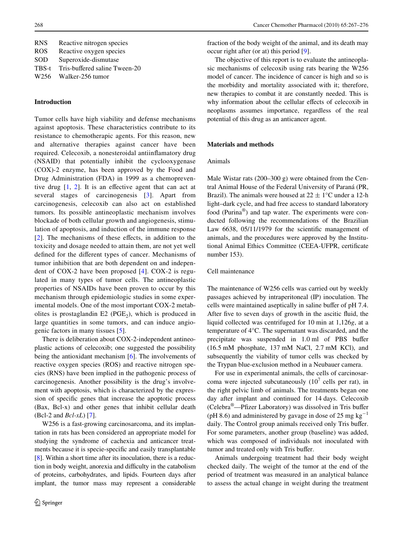| <b>RNS</b> | Reactive nitrogen species     |
|------------|-------------------------------|
| <b>ROS</b> | Reactive oxygen species       |
| SOD        | Superoxide-dismutase          |
| TBS-t      | Tris-buffered saline Tween-20 |
| W256       | Walker-256 tumor              |

## **Introduction**

Tumor cells have high viability and defense mechanisms against apoptosis. These characteristics contribute to its resistance to chemotherapic agents. For this reason, new and alternative therapies against cancer have been required. Celecoxib, a nonesteroidal antiinflamatory drug (NSAID) that potentially inhibit the cyclooxygenase (COX)-2 enzyme, has been approved by the Food and Drug Administration (FDA) in 1999 as a chemopreventive drug  $[1, 2]$  $[1, 2]$  $[1, 2]$  $[1, 2]$ . It is an effective agent that can act at several stages of carcinogenesis [[3](#page-9-1)]. Apart from carcinogenesis, celecoxib can also act on established tumors. Its possible antineoplastic mechanism involves blockade of both cellular growth and angiogenesis, stimulation of apoptosis, and induction of the immune response [\[2\]](#page-9-0). The mechanisms of these effects, in addition to the toxicity and dosage needed to attain them, are not yet well defined for the different types of cancer. Mechanisms of tumor inhibition that are both dependent on and independent of COX-2 have been proposed [[4\]](#page-9-2). COX-2 is regulated in many types of tumor cells. The antineoplastic properties of NSAIDs have been proven to occur by this mechanism through epidemiologic studies in some experimental models. One of the most important COX-2 metabolites is prostaglandin  $E2$  (PGE<sub>2</sub>), which is produced in large quantities in some tumors, and can induce angiogenic factors in many tissues [[5\]](#page-9-3).

There is deliberation about COX-2-independent antineoplastic actions of celecoxib; one suggested the possibility being the antioxidant mechanism [[6](#page-9-4)]. The involvements of reactive oxygen species (ROS) and reactive nitrogen species (RNS) have been implied in the pathogenic process of carcinogenesis. Another possibility is the drug's involvement with apoptosis, which is characterized by the expression of specific genes that increase the apoptotic process (Bax, Bcl-x) and other genes that inhibit cellular death (Bcl-2 and *Bcl-xL*) [[7\]](#page-9-5).

W256 is a fast-growing carcinosarcoma, and its implantation in rats has been considered an appropriate model for studying the syndrome of cachexia and anticancer treatments because it is specie-specific and easily transplantable [\[8](#page-9-6)]. Within a short time after its inoculation, there is a reduction in body weight, anorexia and difficulty in the catabolism of proteins, carbohydrates, and lipids. Fourteen days after implant, the tumor mass may represent a considerable fraction of the body weight of the animal, and its death may occur right after (or at) this period [[9\]](#page-9-7).

The objective of this report is to evaluate the antineoplasic mechanisms of celecoxib using rats bearing the W256 model of cancer. The incidence of cancer is high and so is the morbidity and mortality associated with it; therefore, new therapies to combat it are constantly needed. This is why information about the cellular effects of celecoxib in neoplasms assumes importance, regardless of the real potential of this drug as an anticancer agent.

## **Materials and methods**

## Animals

Male Wistar rats (200–300 g) were obtained from the Central Animal House of the Federal University of Paraná (PR, Brazil). The animals were housed at  $22 \pm 1$ °C under a 12-h light–dark cycle, and had free access to standard laboratory food (Purina®) and tap water. The experiments were conducted following the recommendations of the Brazilian Law  $6638$ ,  $05/11/1979$  for the scientific management of animals, and the procedures were approved by the Institutional Animal Ethics Committee (CEEA-UFPR, certificate number 153).

# Cell maintenance

The maintenance of W256 cells was carried out by weekly passages achieved by intraperitoneal (IP) inoculation. The cells were maintained aseptically in saline buffer of pH 7.4. After five to seven days of growth in the ascitic fluid, the liquid collected was centrifuged for 10 min at 1,126*g*, at a temperature of 4°C. The supernatant was discarded, and the precipitate was suspended in  $1.0$  ml of PBS buffer (16.5 mM phosphate, 137 mM NaCl, 2.7 mM KCl), and subsequently the viability of tumor cells was checked by the Trypan blue-exclusion method in a Neubauer camera.

For use in experimental animals, the cells of carcinosarcoma were injected subcutaneously  $(10^7 \text{ cells per rat})$ , in the right pelvic limb of animals. The treatments began one day after implant and continued for 14 days. Celecoxib  $(Celebra^{\circ}$ —Pfizer Laboratory) was dissolved in Tris buffer (pH 8.6) and administered by gavage in dose of 25 mg  $kg^{-1}$ daily. The Control group animals received only Tris buffer. For some parameters, another group (baseline) was added, which was composed of individuals not inoculated with tumor and treated only with Tris buffer.

Animals undergoing treatment had their body weight checked daily. The weight of the tumor at the end of the period of treatment was measured in an analytical balance to assess the actual change in weight during the treatment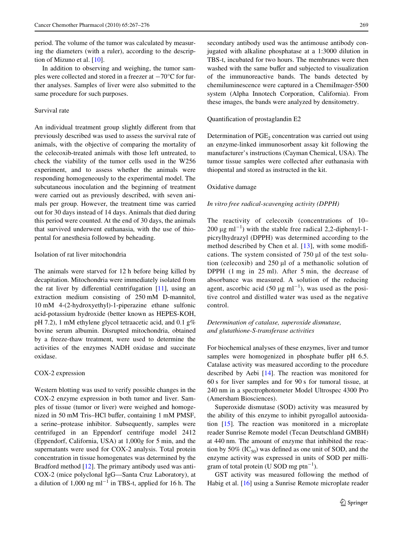period. The volume of the tumor was calculated by measuring the diameters (with a ruler), according to the description of Mizuno et al. [[10\]](#page-9-8).

In addition to observing and weighing, the tumor samples were collected and stored in a freezer at  $-70^{\circ}$ C for further analyses. Samples of liver were also submitted to the same procedure for such purposes.

# Survival rate

An individual treatment group slightly different from that previously described was used to assess the survival rate of animals, with the objective of comparing the mortality of the celecoxib-treated animals with those left untreated, to check the viability of the tumor cells used in the W256 experiment, and to assess whether the animals were responding homogeneously to the experimental model. The subcutaneous inoculation and the beginning of treatment were carried out as previously described, with seven animals per group. However, the treatment time was carried out for 30 days instead of 14 days. Animals that died during this period were counted. At the end of 30 days, the animals that survived underwent euthanasia, with the use of thiopental for anesthesia followed by beheading.

## Isolation of rat liver mitochondria

The animals were starved for 12 h before being killed by decapitation. Mitochondria were immediately isolated from the rat liver by differential centrifugation  $[11]$ , using an extraction medium consisting of 250 mM D-mannitol, 10 mM 4-(2-hydroxyethyl)-1-piperazine ethane sulfonic acid-potassium hydroxide (better known as HEPES-KOH, pH 7.2), 1 mM ethylene glycol tetraacetic acid, and 0.1 g% bovine serum albumin. Disrupted mitochondria, obtained by a freeze-thaw treatment, were used to determine the activities of the enzymes NADH oxidase and succinate oxidase.

## COX-2 expression

Western blotting was used to verify possible changes in the COX-2 enzyme expression in both tumor and liver. Samples of tissue (tumor or liver) were weighed and homogenized in 50 mM Tris–HCl buffer, containing 1 mM PMSF, a serine–protease inhibitor. Subsequently, samples were centrifuged in an Eppendorf centrifuge model 2412 (Eppendorf, California, USA) at 1,000*g* for 5 min, and the supernatants were used for COX-2 analysis. Total protein concentration in tissue homogenates was determined by the Bradford method [\[12](#page-9-10)]. The primary antibody used was anti-COX-2 (mice polyclonal IgG—Santa Cruz Laboratory), at a dilution of  $1,000$  ng ml<sup>-1</sup> in TBS-t, applied for 16 h. The

secondary antibody used was the antimouse antibody conjugated with alkaline phosphatase at a 1:3000 dilution in TBS-t, incubated for two hours. The membranes were then washed with the same buffer and subjected to visualization of the immunoreactive bands. The bands detected by chemiluminescence were captured in a ChemiImager-5500 system (Alpha Innotech Corporation, California). From these images, the bands were analyzed by densitometry.

#### Quantification of prostaglandin E2

Determination of  $PGE<sub>2</sub>$  concentration was carried out using an enzyme-linked immunosorbent assay kit following the manufacturer's instructions (Cayman Chemical, USA). The tumor tissue samples were collected after euthanasia with thiopental and stored as instructed in the kit.

## Oxidative damage

# *In vitro free radical-scavenging activity (DPPH)*

The reactivity of celecoxib (concentrations of 10– 200  $\mu$ g ml<sup>-1</sup>) with the stable free radical 2,2-diphenyl-1picrylhydrazyl (DPPH) was determined according to the method described by Chen et al.  $[13]$  $[13]$  $[13]$ , with some modifications. The system consisted of  $750 \mu l$  of the test solution (celecoxib) and  $250 \mu l$  of a methanolic solution of DPPH (1 mg in 25 ml). After 5 min, the decrease of absorbance was measured. A solution of the reducing agent, ascorbic acid  $(50 \text{ µg m}^{-1})$ , was used as the positive control and distilled water was used as the negative control.

# *Determination of catalase, superoxide dismutase, and glutathione-S-transferase activities*

For biochemical analyses of these enzymes, liver and tumor samples were homogenized in phosphate buffer pH 6.5. Catalase activity was measured according to the procedure described by Aebi [\[14](#page-9-12)]. The reaction was monitored for 60 s for liver samples and for 90 s for tumoral tissue, at 240 nm in a spectrophotometer Model Ultrospec 4300 Pro (Amersham Biosciences).

Superoxide dismutase (SOD) activity was measured by the ability of this enzyme to inhibit pyrogallol autooxidation [[15\]](#page-9-13). The reaction was monitored in a microplate reader Sunrise Remote model (Tecan Deutschland GMBH) at 440 nm. The amount of enzyme that inhibited the reaction by 50% (IC $_{50}$ ) was defined as one unit of SOD, and the enzyme activity was expressed in units of SOD per milligram of total protein (U SOD mg ptn<sup>-1</sup>).

GST activity was measured following the method of Habig et al. [[16\]](#page-9-14) using a Sunrise Remote microplate reader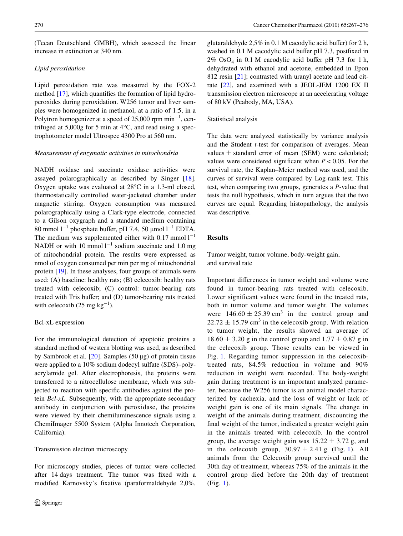(Tecan Deutschland GMBH), which assessed the linear increase in extinction at 340 nm.

# *Lipid peroxidation*

Lipid peroxidation rate was measured by the FOX-2 method  $[17]$  $[17]$ , which quantifies the formation of lipid hydroperoxides during peroxidation. W256 tumor and liver samples were homogenized in methanol, at a ratio of 1:5, in a Polytron homogenizer at a speed of 25,000 rpm  $min^{-1}$ , centrifuged at 5,000*g* for 5 min at 4°C, and read using a spectrophotometer model Ultrospec 4300 Pro at 560 nm.

#### *Measurement of enzymatic activities in mitochondria*

NADH oxidase and succinate oxidase activities were assayed polarographically as described by Singer [\[18](#page-9-16)]. Oxygen uptake was evaluated at 28°C in a 1.3-ml closed, thermostatically controlled water-jacketed chamber under magnetic stirring. Oxygen consumption was measured polarographically using a Clark-type electrode, connected to a Gilson oxygraph and a standard medium containing 80 mmol  $1^{-1}$  phosphate buffer, pH 7.4, 50 µmol  $1^{-1}$  EDTA. The medium was supplemented either with  $0.17$  mmol  $1^{-1}$ NADH or with 10 mmol  $l^{-1}$  sodium succinate and 1.0 mg of mitochondrial protein. The results were expressed as nmol of oxygen consumed per min per mg of mitochondrial protein [\[19](#page-9-17)]. In these analyses, four groups of animals were used: (A) baseline: healthy rats; (B) celecoxib: healthy rats treated with celecoxib; (C) control: tumor-bearing rats treated with Tris buffer; and (D) tumor-bearing rats treated with celecoxib  $(25 \text{ mg kg}^{-1})$ .

#### Bcl-xL expression

For the immunological detection of apoptotic proteins a standard method of western blotting was used, as described by Sambrook et al.  $[20]$  $[20]$ . Samples (50 µg) of protein tissue were applied to a 10% sodium dodecyl sulfate (SDS)–polyacrylamide gel. After electrophoresis, the proteins were transferred to a nitrocellulose membrane, which was subjected to reaction with specific antibodies against the protein *Bcl-xL*. Subsequently, with the appropriate secondary antibody in conjunction with peroxidase, the proteins were viewed by their chemiluminescence signals using a ChemiImager 5500 System (Alpha Innotech Corporation, California).

#### Transmission electron microscopy

For microscopy studies, pieces of tumor were collected after 14 days treatment. The tumor was fixed with a modified Karnovsky's fixative (paraformaldehyde 2,0%, glutaraldehyde  $2.5\%$  in 0.1 M cacodylic acid buffer) for 2 h, washed in 0.1 M cacodylic acid buffer pH 7.3, postfixed in  $2\%$  OsO<sub>4</sub> in 0.1 M cacodylic acid buffer pH 7.3 for 1 h, dehydrated with ethanol and acetone, embedded in Epon 812 resin [[21](#page-9-19)]; contrasted with uranyl acetate and lead citrate [\[22](#page-9-20)], and examined with a JEOL-JEM 1200 EX II transmission electron microscope at an accelerating voltage of 80 kV (Peabody, MA, USA).

### Statistical analysis

The data were analyzed statistically by variance analysis and the Student *t*-test for comparison of averages. Mean values  $\pm$  standard error of mean (SEM) were calculated; values were considered significant when  $P < 0.05$ . For the survival rate, the Kaplan–Meier method was used, and the curves of survival were compared by Log-rank test. This test, when comparing two groups, generates a *P*-value that tests the null hypothesis, which in turn argues that the two curves are equal. Regarding histopathology, the analysis was descriptive.

# **Results**

Tumor weight, tumor volume, body-weight gain, and survival rate

Important differences in tumor weight and volume were found in tumor-bearing rats treated with celecoxib. Lower significant values were found in the treated rats, both in tumor volume and tumor weight. The volumes were  $146.60 \pm 25.39$  cm<sup>3</sup> in the control group and  $22.72 \pm 15.79$  cm<sup>3</sup> in the celecoxib group. With relation to tumor weight, the results showed an average of  $18.60 \pm 3.20$  g in the control group and  $1.77 \pm 0.87$  g in the celecoxib group. Those results can be viewed in Fig. [1.](#page-4-0) Regarding tumor suppression in the celecoxibtreated rats, 84.5% reduction in volume and 90% reduction in weight were recorded. The body-weight gain during treatment is an important analyzed parameter, because the W256 tumor is an animal model characterized by cachexia, and the loss of weight or lack of weight gain is one of its main signals. The change in weight of the animals during treatment, discounting the final weight of the tumor, indicated a greater weight gain in the animals treated with celecoxib. In the control group, the average weight gain was  $15.22 \pm 3.72$  g, and in the celecoxib group,  $30.97 \pm 2.41$  $30.97 \pm 2.41$  g (Fig. 1). All animals from the Celecoxib group survived until the 30th day of treatment, whereas 75% of the animals in the control group died before the 20th day of treatment (Fig. [1](#page-4-0)).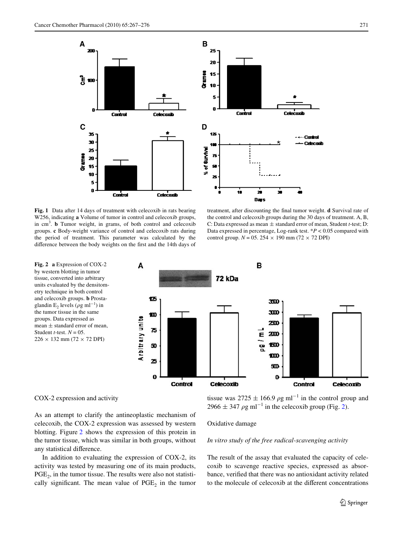

<span id="page-4-0"></span>**Fig. 1** Data after 14 days of treatment with celecoxib in rats bearing W256, indicating **a** Volume of tumor in control and celecoxib groups, in cm<sup>3</sup> . **b** Tumor weight, in grams, of both control and celecoxib groups. **c** Body-weight variance of control and celecoxib rats during the period of treatment. This parameter was calculated by the difference between the body weights on the first and the 14th days of

treatment, after discounting the final tumor weight. **d** Survival rate of the control and celecoxib groups during the 30 days of treatment. A, B, C: Data expressed as mean  $\pm$  standard error of mean, Student *t*-test; D: Data expressed in percentage, Log-rank test.  $*P < 0.05$  compared with control group.  $N = 05$ . 254  $\times$  190 mm (72  $\times$  72 DPI)

<span id="page-4-1"></span>

COX-2 expression and activity

As an attempt to clarify the antineoplastic mechanism of celecoxib, the COX-2 expression was assessed by western blotting. Figure [2](#page-4-1) shows the expression of this protein in the tumor tissue, which was similar in both groups, without any statistical difference.

In addition to evaluating the expression of COX-2, its activity was tested by measuring one of its main products,  $PGE<sub>2</sub>$ , in the tumor tissue. The results were also not statistically significant. The mean value of  $PGE_2$  in the tumor

tissue was  $2725 \pm 166.9$   $\rho$ g ml<sup>-1</sup> in the control group and  $2966 \pm 347$   $\rho$ g ml<sup>-1</sup> in the celecoxib group (Fig. [2\)](#page-4-1).

#### Oxidative damage

*In vitro study of the free radical-scavenging activity*

The result of the assay that evaluated the capacity of celecoxib to scavenge reactive species, expressed as absorbance, verified that there was no antioxidant activity related to the molecule of celecoxib at the different concentrations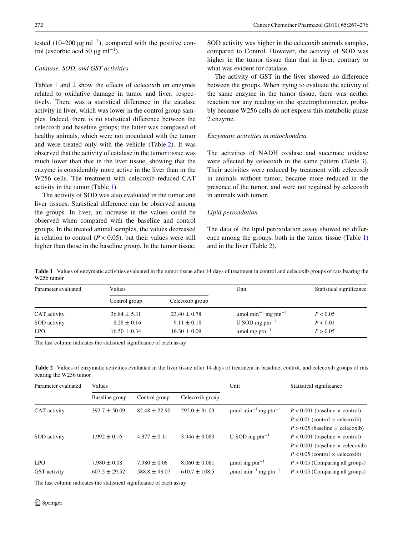tested (10–200  $\mu$ g ml<sup>-1</sup>), compared with the positive control (ascorbic acid 50  $\mu$ g ml<sup>-1</sup>).

## *Catalase, SOD, and GST activities*

Tables  $1$  and  $2$  show the effects of celecoxib on enzymes related to oxidative damage in tumor and liver, respectively. There was a statistical difference in the catalase activity in liver, which was lower in the control group samples. Indeed, there is no statistical difference between the celecoxib and baseline groups; the latter was composed of healthy animals, which were not inoculated with the tumor and were treated only with the vehicle (Table [2\)](#page-5-1). It was observed that the activity of catalase in the tumor tissue was much lower than that in the liver tissue, showing that the enzyme is considerably more active in the liver than in the W256 cells. The treatment with celecoxib reduced CAT activity in the tumor (Table [1](#page-5-0)).

The activity of SOD was also evaluated in the tumor and liver tissues. Statistical difference can be observed among the groups. In liver, an increase in the values could be observed when compared with the baseline and control groups. In the treated animal samples, the values decreased in relation to control  $(P < 0.05)$ , but their values were still higher than those in the baseline group. In the tumor tissue, SOD activity was higher in the celecoxib animals samples, compared to Control. However, the activity of SOD was higher in the tumor tissue than that in liver, contrary to what was evident for catalase.

The activity of GST in the liver showed no difference between the groups. When trying to evaluate the activity of the same enzyme in the tumor tissue, there was neither reaction nor any reading on the spectrophotometer, probably because W256 cells do not express this metabolic phase 2 enzyme.

# *Enzymatic activities in mitochondria*

The activities of NADH oxidase and succinate oxidase were affected by celecoxib in the same pattern (Table [3](#page-6-0)). Their activities were reduced by treatment with celecoxib in animals without tumor, became more reduced in the presence of the tumor, and were not regained by celecoxib in animals with tumor.

## *Lipid peroxidation*

The data of the lipid peroxidation assay showed no difference among the groups, both in the tumor tissue (Table [1\)](#page-5-0) and in the liver (Table [2](#page-5-1)).

<span id="page-5-0"></span>**Table 1** Values of enzymatic activities evaluated in the tumor tissue after 14 days of treatment in control and celecoxib groups of rats bearing the W256 tumor

| Parameter evaluated | Values           |                  | Unit                                             | Statistical significance |  |
|---------------------|------------------|------------------|--------------------------------------------------|--------------------------|--|
|                     | Control group    | Celecoxib group  |                                                  |                          |  |
| CAT activity        | $36.84 \pm 5.31$ | $23.40 \pm 0.78$ | $\mu$ mol min <sup>-1</sup> mg ptn <sup>-1</sup> | P < 0.05                 |  |
| SOD activity        | $8.28 \pm 0.16$  | $9.11 \pm 0.18$  | U SOD mg ptn <sup>-1</sup>                       | P < 0.01                 |  |
| <b>LPO</b>          | $16.50 \pm 0.34$ | $16.30 \pm 0.09$ | $\mu$ mol mg ptn <sup>-1</sup>                   | P > 0.05                 |  |

The last column indicates the statistical significance of each assay

<span id="page-5-1"></span>Table 2 Values of enzymatic activities evaluated in the liver tissue after 14 days of treatment in baseline, control, and celecoxib groups of rats bearing the W256 tumor

| Parameter evaluated          | Values                                |                                       |                                        | Unit                                                                                | Statistical significance                                                                                                                                                                                                                                          |
|------------------------------|---------------------------------------|---------------------------------------|----------------------------------------|-------------------------------------------------------------------------------------|-------------------------------------------------------------------------------------------------------------------------------------------------------------------------------------------------------------------------------------------------------------------|
|                              | Baseline group                        | Control group                         | Celecoxib group                        |                                                                                     |                                                                                                                                                                                                                                                                   |
| CAT activity<br>SOD activity | $392.7 \pm 50.09$<br>$1.992 \pm 0.16$ | $82.48 \pm 22.90$<br>$4.377 \pm 0.11$ | $292.0 \pm 31.03$<br>$3.946 \pm 0.089$ | $\mu$ mol min <sup>-1</sup> mg ptn <sup>-1</sup><br>U SOD mg ptn <sup>-1</sup>      | $P < 0.001$ (baseline $\times$ control)<br>$P < 0.01$ (control $\times$ celecoxib)<br>$P > 0.05$ (baseline $\times$ celecoxib)<br>$P < 0.001$ (baseline $\times$ control)<br>$P < 0.001$ (baseline $\times$ celecoxib)<br>$P < 0.05$ (control $\times$ celecoxib) |
| <b>LPO</b><br>GST activity   | $7.980 \pm 0.08$<br>$607.5 \pm 29.52$ | $7.980 \pm 0.06$<br>$588.8 \pm 93.07$ | $8.060 \pm 0.081$<br>$610.7 \pm 108.5$ | $\mu$ mol mg ptn <sup>-1</sup><br>$\rho$ mol min <sup>-1</sup> mg ptn <sup>-1</sup> | $P > 0.05$ (Comparing all groups)<br>$P > 0.05$ (Comparing all groups)                                                                                                                                                                                            |

The last column indicates the statistical significance of each assay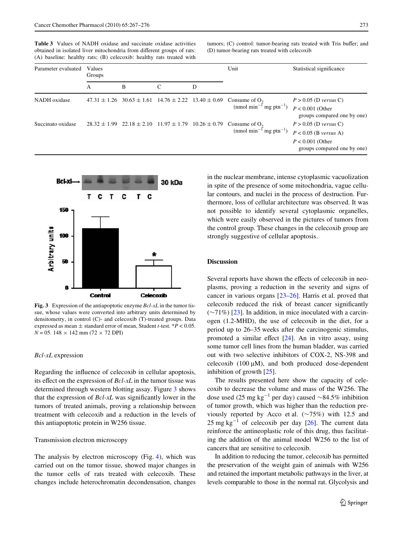<span id="page-6-0"></span>**Table 3** Values of NADH oxidase and succinate oxidase activities obtained in isolated liver mitochondria from different groups of rats: (A) baseline: healthy rats; (B) celecoxib: healthy rats treated with tumors; (C) control: tumor-bearing rats treated with Tris buffer; and (D) tumor-bearing rats treated with celecoxib

| Parameter evaluated | Values<br>Groups |                                                                     |   |   | Unit                                                                                                                                            | Statistical significance                                                                                |
|---------------------|------------------|---------------------------------------------------------------------|---|---|-------------------------------------------------------------------------------------------------------------------------------------------------|---------------------------------------------------------------------------------------------------------|
|                     | A                | B                                                                   | C | D |                                                                                                                                                 |                                                                                                         |
| NADH oxidase        |                  |                                                                     |   |   | $47.31 \pm 1.26$ 30.63 $\pm$ 1.61 14.76 $\pm$ 2.22 13.40 $\pm$ 0.69 Consume of O <sub>2</sub><br>(nmol min <sup>-1</sup> mg ptn <sup>-1</sup> ) | $P > 0.05$ (D versus C)<br>$P < 0.001$ (Other<br>groups compared one by one)                            |
| Succinato oxidase   |                  | $28.32 \pm 1.99$ $22.18 \pm 2.10$ $11.97 \pm 1.79$ $10.26 \pm 0.79$ |   |   | Consume of $O2$<br>(nmol min <sup>-1</sup> mg ptn <sup>-1</sup> )                                                                               | $P > 0.05$ (D versus C)<br>$P < 0.05$ (B versus A)<br>$P < 0.001$ (Other<br>groups compared one by one) |



<span id="page-6-1"></span>**Fig. 3** Expression of the antiapoptotic enzyme *Bcl-xL* in the tumor tissue, whose values were converted into arbitrary units determined by densitometry, in control (C)- and celecoxib (T)-treated groups. Data expressed as mean  $\pm$  standard error of mean, Student *t*-test. \* $P < 0.05$ .  $N = 05.148 \times 142$  mm (72  $\times$  72 DPI)

#### *Bcl-xL* expression

Regarding the influence of celecoxib in cellular apoptosis, its effect on the expression of *Bcl-xL* in the tumor tissue was determined through western blotting assay. Figure [3](#page-6-1) shows that the expression of *Bcl-xL* was significantly lower in the tumors of treated animals, proving a relationship between treatment with celecoxib and a reduction in the levels of this antiapoptotic protein in W256 tissue.

## Transmission electron microscopy

The analysis by electron microscopy (Fig. [4](#page-7-0)), which was carried out on the tumor tissue, showed major changes in the tumor cells of rats treated with celecoxib. These changes include heterochromatin decondensation, changes

in the nuclear membrane, intense cytoplasmic vacuolization in spite of the presence of some mitochondria, vague cellular contours, and nuclei in the process of destruction. Furthermore, loss of cellular architecture was observed. It was not possible to identify several cytoplasmic organelles, which were easily observed in the pictures of tumors from the control group. These changes in the celecoxib group are strongly suggestive of cellular apoptosis.

# **Discussion**

Several reports have shown the effects of celecoxib in neoplasms, proving a reduction in the severity and signs of cancer in various organs [[23–](#page-9-21)[26\]](#page-9-22). Harris et al. proved that celecoxib reduced the risk of breast cancer significantly  $(\sim 71\%)$  [[23\]](#page-9-21). In addition, in mice inoculated with a carcinogen (1.2-MHD), the use of celecoxib in the diet, for a period up to 26–35 weeks after the carcinogenic stimulus, promoted a similar effect  $[24]$  $[24]$ . An in vitro assay, using some tumor cell lines from the human bladder, was carried out with two selective inhibitors of COX-2, NS-398 and celecoxib  $(100 \mu M)$ , and both produced dose-dependent inhibition of growth [[25](#page-9-24)].

The results presented here show the capacity of celecoxib to decrease the volume and mass of the W256. The dose used (25 mg kg<sup>-1</sup> per day) caused  $\sim$ 84.5% inhibition of tumor growth, which was higher than the reduction previously reported by Acco et al.  $(\sim 75\%)$  with 12.5 and 25 mg kg<sup>-1</sup> of celecoxib per day  $[26]$  $[26]$ . The current data reinforce the antineoplastic role of this drug, thus facilitating the addition of the animal model W256 to the list of cancers that are sensitive to celecoxib.

In addition to reducing the tumor, celecoxib has permitted the preservation of the weight gain of animals with W256 and retained the important metabolic pathways in the liver, at levels comparable to those in the normal rat. Glycolysis and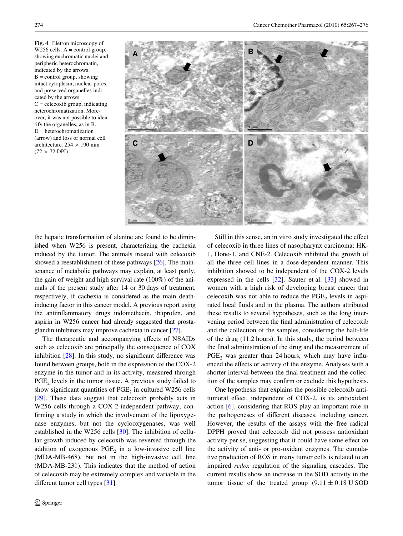<span id="page-7-0"></span>**Fig. 4** Eletron microscopy of W256 cells.  $A =$  control group, showing euchromatic nuclei and peripheric heterochromatin, indicated by the arrows.  $B =$  control group, showing intact cytoplasm, nuclear pores, and preserved organelles indicated by the arrows.  $C =$  celecoxib group, indicating heterochromatization. Moreover, it was not possible to identify the organelles, as in B. D = heterochromatization (arrow) and loss of normal cell architecture.  $254 \times 190$  mm  $(72 \times 72$  DPI)



the hepatic transformation of alanine are found to be diminished when W256 is present, characterizing the cachexia induced by the tumor. The animals treated with celecoxib showed a reestablishment of these pathways [\[26](#page-9-22)]. The maintenance of metabolic pathways may explain, at least partly, the gain of weight and high survival rate (100%) of the animals of the present study after 14 or 30 days of treatment, respectively, if cachexia is considered as the main deathinducing factor in this cancer model. A previous report using the antiinflammatory drugs indomethacin, ibuprofen, and aspirin in W256 cancer had already suggested that prostaglandin inhibitors may improve cachexia in cancer [\[27\]](#page-9-25).

The therapeutic and accompanying effects of NSAIDs such as celecoxib are principally the consequence of COX inhibition  $[28]$  $[28]$ . In this study, no significant difference was found between groups, both in the expression of the COX-2 enzyme in the tumor and in its activity, measured through  $PGE<sub>2</sub>$  levels in the tumor tissue. A previous study failed to show significant quantities of  $PGE_2$  in cultured W256 cells [\[29](#page-9-27)]. These data suggest that celecoxib probably acts in W256 cells through a COX-2-independent pathway, confirming a study in which the involvement of the lipoxygenase enzymes, but not the cyclooxygenases, was well established in the W256 cells [\[30](#page-9-28)]. The inhibition of cellular growth induced by celecoxib was reversed through the addition of exogenous  $PGE<sub>2</sub>$  in a low-invasive cell line (MDA-MB-468), but not in the high-invasive cell line (MDA-MB-231). This indicates that the method of action of celecoxib may be extremely complex and variable in the different tumor cell types  $[31]$  $[31]$ .

Still in this sense, an in vitro study investigated the effect of celecoxib in three lines of nasopharynx carcinoma: HK-1, Hone-1, and CNE-2. Celecoxib inhibited the growth of all the three cell lines in a dose-dependent manner. This inhibition showed to be independent of the COX-2 levels expressed in the cells [[32\]](#page-9-30). Sauter et al. [\[33](#page-9-31)] showed in women with a high risk of developing breast cancer that  $celecoxib$  was not able to reduce the PGE<sub>2</sub> levels in aspirated local fluids and in the plasma. The authors attributed these results to several hypotheses, such as the long intervening period between the final administration of celecoxib and the collection of the samples, considering the half-life of the drug (11.2 hours). In this study, the period between the final administration of the drug and the measurement of  $PGE<sub>2</sub>$  was greater than 24 hours, which may have influenced the effects or activity of the enzyme. Analyses with a shorter interval between the final treatment and the collection of the samples may confirm or exclude this hypothesis.

One hypothesis that explains the possible celecoxib antitumoral effect, independent of COX-2, is its antioxidant action [\[6](#page-9-4)], considering that ROS play an important role in the pathogeneses of different diseases, including cancer. However, the results of the assays with the free radical DPPH proved that celecoxib did not possess antioxidant activity per se, suggesting that it could have some effect on the activity of anti- or pro-oxidant enzymes. The cumulative production of ROS in many tumor cells is related to an impaired *redox* regulation of the signaling cascades. The current results show an increase in the SOD activity in the tumor tissue of the treated group  $(9.11 \pm 0.18 \text{ U SOD})$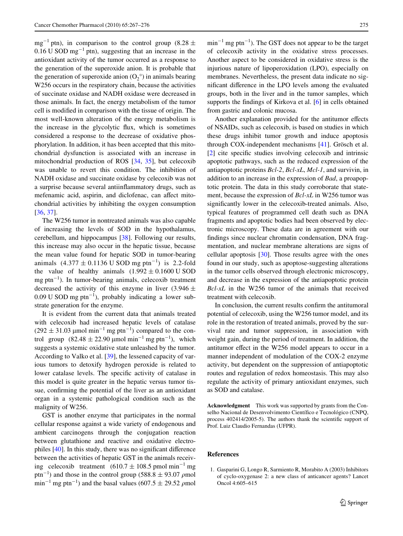$mg^{-1}$  ptn), in comparison to the control group (8.28  $\pm$  $0.16$  U SOD mg<sup>-1</sup> ptn), suggesting that an increase in the antioxidant activity of the tumor occurred as a response to the generation of the superoxide anion. It is probable that the generation of superoxide anion  $(O_2^{\circ})$  in animals bearing W<sub>256</sub> occurs in the respiratory chain, because the activities of succinate oxidase and NADH oxidase were decreased in those animals. In fact, the energy metabolism of the tumor cell is modified in comparison with the tissue of origin. The most well-known alteration of the energy metabolism is the increase in the glycolytic flux, which is sometimes considered a response to the decrease of oxidative phosphorylation. In addition, it has been accepted that this mitochondrial dysfunction is associated with an increase in mitochondrial production of ROS [[34,](#page-9-32) [35](#page-9-33)], but celecoxib was unable to revert this condition. The inhibition of NADH oxidase and succinate oxidase by celecoxib was not a surprise because several antiinflammatory drugs, such as mefenamic acid, aspirin, and diclofenac, can affect mitochondrial activities by inhibiting the oxygen consumption [\[36](#page-9-34), [37](#page-9-35)].

The W256 tumor in nontreated animals was also capable of increasing the levels of SOD in the hypothalamus, cerebellum, and hippocampus [[38\]](#page-9-36). Following our results, this increase may also occur in the hepatic tissue, because the mean value found for hepatic SOD in tumor-bearing animals  $(4.377 \pm 0.1136 \text{ U }$  SOD mg ptn<sup>-1</sup>) is 2.2-fold the value of healthy animals  $(1.992 \pm 0.1600 \text{ U SOD})$  $mg$  ptn<sup>-1</sup>). In tumor-bearing animals, celecoxib treatment decreased the activity of this enzyme in liver (3.946  $\pm$ 0.09 U SOD mg ptn<sup>-1</sup>), probably indicating a lower substrate generation for the enzyme.

It is evident from the current data that animals treated with celecoxib had increased hepatic levels of catalase  $(292 \pm 31.03 \text{ µmol min}^{-1} \text{ mg ptn}^{-1})$  compared to the control group  $(82.48 \pm 22.90 \,\text{\mu mol min}^{-1} \text{mg ptn}^{-1})$ , which suggests a systemic oxidative state unleashed by the tumor. According to Valko et al. [[39\]](#page-9-37), the lessened capacity of various tumors to detoxify hydrogen peroxide is related to lower catalase levels. The specific activity of catalase in this model is quite greater in the hepatic versus tumor tissue, confirming the potential of the liver as an antioxidant organ in a systemic pathological condition such as the malignity of W256.

GST is another enzyme that participates in the normal cellular response against a wide variety of endogenous and ambient carcinogens through the conjugation reaction between glutathione and reactive and oxidative electrophiles  $[40]$  $[40]$ . In this study, there was no significant difference between the activities of hepatic GST in the animals receiving celecoxib treatment  $(610.7 \pm 108.5 \text{ pmol min}^{-1} \text{mg})$ ptn<sup>-1</sup>) and those in the control group (588.8  $\pm$  93.07  $\rho$ mol  $\text{min}^{-1}$  mg ptn<sup>-1</sup>) and the basal values (607.5  $\pm$  29.52  $\rho$ mol

 $\min^{-1}$  mg ptn<sup>-1</sup>). The GST does not appear to be the target of celecoxib activity in the oxidative stress processes. Another aspect to be considered in oxidative stress is the injurious nature of lipoperoxidation (LPO), especially on membranes. Nevertheless, the present data indicate no significant difference in the LPO levels among the evaluated groups, both in the liver and in the tumor samples, which supports the findings of Kirkova et al.  $[6]$  $[6]$  in cells obtained from gastric and colonic mucosa.

Another explanation provided for the antitumor effects of NSAIDs, such as celecoxib, is based on studies in which these drugs inhibit tumor growth and induce apoptosis through COX-independent mechanisms [\[41](#page-9-39)]. Grösch et al.  $[2]$  cite specific studies involving celecoxib and intrinsic apoptotic pathways, such as the reduced expression of the antiapoptotic proteins *Bcl-2*, *Bcl-xL*, *Mcl-1*, and survivin, in addition to an increase in the expression of *Bad*, a proapoptotic protein. The data in this study corroborate that statement, because the expression of *Bcl-xL* in W256 tumor was significantly lower in the celecoxib-treated animals. Also, typical features of programmed cell death such as DNA fragments and apoptotic bodies had been observed by electronic microscopy. These data are in agreement with our findings since nuclear chromatin condensation, DNA fragmentation, and nuclear membrane alterations are signs of cellular apoptosis  $[30]$  $[30]$ . Those results agree with the ones found in our study, such as apoptose-suggesting alterations in the tumor cells observed through electronic microscopy, and decrease in the expression of the antiapoptotic protein *Bcl-xL* in the W256 tumor of the animals that received treatment with celecoxib.

In conclusion, the current results confirm the antitumoral potential of celecoxib, using the W256 tumor model, and its role in the restoration of treated animals, proved by the survival rate and tumor suppression, in association with weight gain, during the period of treatment. In addition, the antitumor effect in the W256 model appears to occur in a manner independent of modulation of the COX-2 enzyme activity, but dependent on the suppression of antiapoptotic routes and regulation of redox homeostasis. This may also regulate the activity of primary antioxidant enzymes, such as SOD and catalase.

**Acknowledgment** This work was supported by grants from the Conselho Nacional de Desenvolvimento Científico e Tecnológico (CNPQ, process 402414/2005-5). The authors thank the scientific support of Prof. Luiz Claudio Fernandas (UFPR).

# **References**

<span id="page-8-0"></span>1. Gasparini G, Longo R, Sarmiento R, Morabito A (2003) Inhibitors of cyclo-oxygenase 2: a new class of anticancer agents? Lancet Oncol 4:605–615